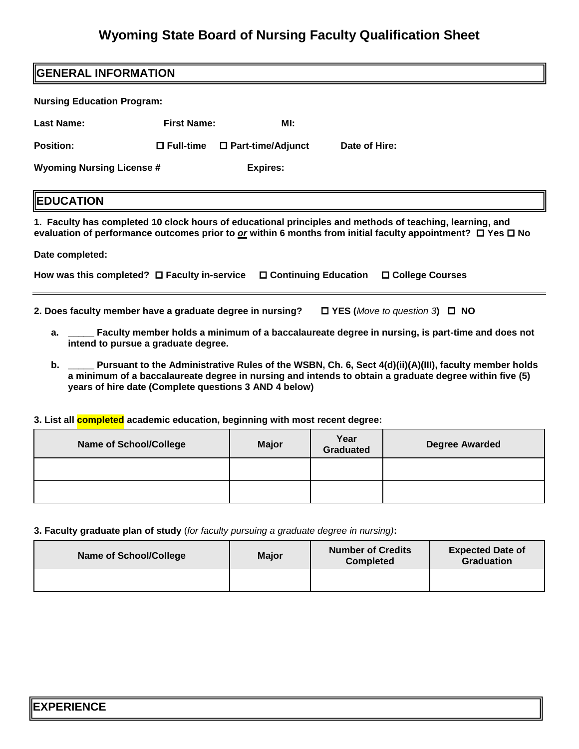## **Wyoming State Board of Nursing Faculty Qualification Sheet**

| <b>GENERAL INFORMATION</b>                                                                                                                                                                                                          |                     |                     |               |  |  |  |
|-------------------------------------------------------------------------------------------------------------------------------------------------------------------------------------------------------------------------------------|---------------------|---------------------|---------------|--|--|--|
| <b>Nursing Education Program:</b>                                                                                                                                                                                                   |                     |                     |               |  |  |  |
| <b>Last Name:</b>                                                                                                                                                                                                                   | <b>First Name:</b>  | MI:                 |               |  |  |  |
| <b>Position:</b>                                                                                                                                                                                                                    | $\square$ Full-time | □ Part-time/Adjunct | Date of Hire: |  |  |  |
| <b>Wyoming Nursing License #</b>                                                                                                                                                                                                    |                     | <b>Expires:</b>     |               |  |  |  |
| <b>EDUCATION</b>                                                                                                                                                                                                                    |                     |                     |               |  |  |  |
| 1. Faculty has completed 10 clock hours of educational principles and methods of teaching, learning, and<br>evaluation of performance outcomes prior to $or$ within 6 months from initial faculty appointment? $\Box$ Yes $\Box$ No |                     |                     |               |  |  |  |
| Date completed:                                                                                                                                                                                                                     |                     |                     |               |  |  |  |
| □ Continuing Education<br>How was this completed? $\Box$ Faculty in-service<br>□ College Courses                                                                                                                                    |                     |                     |               |  |  |  |
| 2. Does faculty member have a graduate degree in nursing?<br>$\Box$ YES (Move to question 3) $\Box$ NO                                                                                                                              |                     |                     |               |  |  |  |

**a. \_\_\_\_\_ Faculty member holds a minimum of a baccalaureate degree in nursing, is part-time and does not intend to pursue a graduate degree.** 

 **b. \_\_\_\_\_ Pursuant to the Administrative Rules of the WSBN, Ch. 6, Sect 4(d)(ii)(A)(III), faculty member holds years of hire date (Complete questions 3 AND 4 below) a minimum of a baccalaureate degree in nursing and intends to obtain a graduate degree within five (5)** 

I I **3. List all completed academic education, beginning with most recent degree:** 

| <b>Name of School/College</b> | <b>Major</b> | Year<br>Graduated | <b>Degree Awarded</b> |
|-------------------------------|--------------|-------------------|-----------------------|
|                               |              |                   |                       |
|                               |              |                   |                       |

**3. Faculty graduate plan of study** (*for faculty pursuing a graduate degree in nursing)***:** 

| <b>Name of School/College</b> | <b>Major</b> | <b>Number of Credits</b><br><b>Completed</b> | <b>Expected Date of</b><br><b>Graduation</b> |
|-------------------------------|--------------|----------------------------------------------|----------------------------------------------|
|                               |              |                                              |                                              |